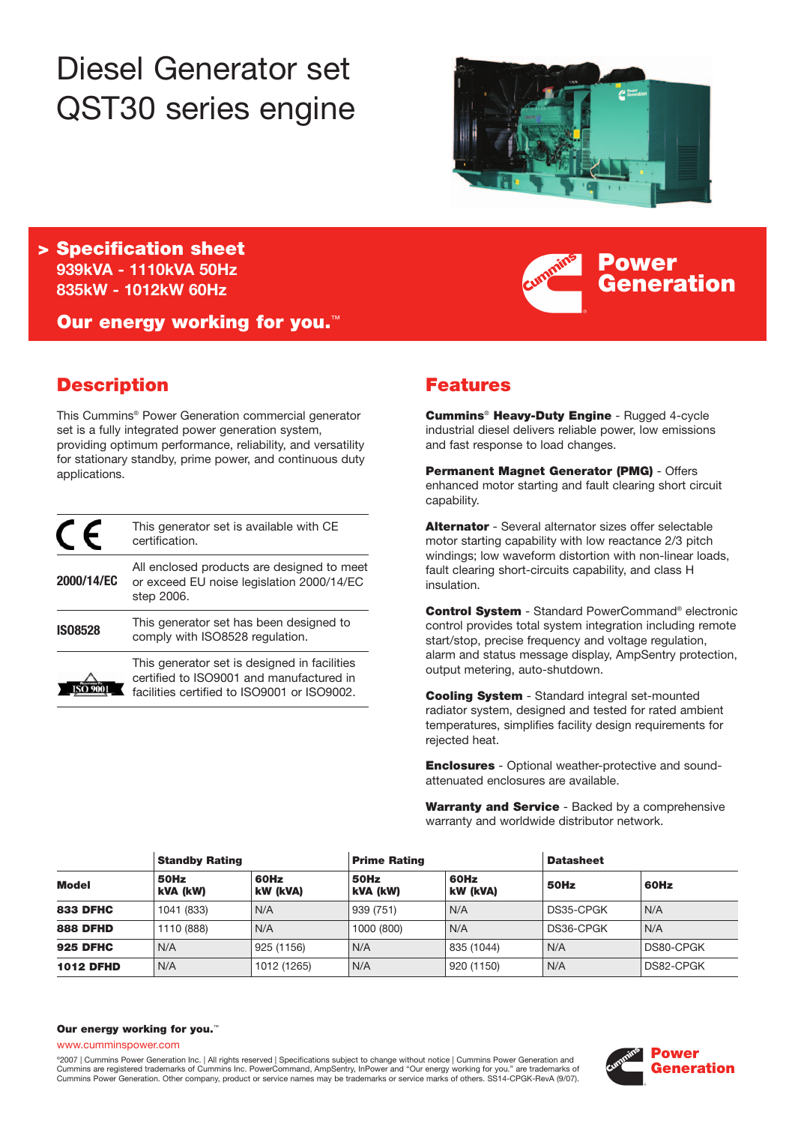# Diesel Generator set QST30 series engine



**Power**

**Generation**

**> Specification sheet 939kVA - 1110kVA 50Hz 835kW - 1012kW 60Hz**

**Our energy working for you.**™

# **Description**

This Cummins® Power Generation commercial generator set is a fully integrated power generation system, providing optimum performance, reliability, and versatility for stationary standby, prime power, and continuous duty applications.

|                | This generator set is available with CE<br>certification.                                                                               |
|----------------|-----------------------------------------------------------------------------------------------------------------------------------------|
| 2000/14/EC     | All enclosed products are designed to meet<br>or exceed EU noise legislation 2000/14/EC<br>step 2006.                                   |
| <b>IS08528</b> | This generator set has been designed to<br>comply with ISO8528 regulation.                                                              |
|                | This generator set is designed in facilities<br>certified to ISO9001 and manufactured in<br>facilities certified to ISO9001 or ISO9002. |

# **Features**

**Cummins**® **Heavy-Duty Engine** - Rugged 4-cycle industrial diesel delivers reliable power, low emissions and fast response to load changes.

**Permanent Magnet Generator (PMG)** - Offers enhanced motor starting and fault clearing short circuit capability.

**Alternator** - Several alternator sizes offer selectable motor starting capability with low reactance 2/3 pitch windings; low waveform distortion with non-linear loads, fault clearing short-circuits capability, and class H insulation.

**Control System** - Standard PowerCommand® electronic control provides total system integration including remote start/stop, precise frequency and voltage regulation, alarm and status message display, AmpSentry protection, output metering, auto-shutdown.

**Cooling System** - Standard integral set-mounted radiator system, designed and tested for rated ambient temperatures, simplifies facility design requirements for rejected heat.

**Enclosures** - Optional weather-protective and soundattenuated enclosures are available.

**Warranty and Service** - Backed by a comprehensive warranty and worldwide distributor network.

|                  | <b>Standby Rating</b> |                  | <b>Prime Rating</b> |                  | <b>Datasheet</b> |           |
|------------------|-----------------------|------------------|---------------------|------------------|------------------|-----------|
| <b>Model</b>     | 50Hz<br>kVA (kW)      | 60Hz<br>kW (kVA) | 50Hz<br>kVA (kW)    | 60Hz<br>kW (kVA) | 50Hz             | 60Hz      |
| <b>833 DFHC</b>  | 1041 (833)            | N/A              | 939 (751)           | N/A              | DS35-CPGK        | N/A       |
| <b>888 DFHD</b>  | 1110 (888)            | N/A              | 1000 (800)          | N/A              | DS36-CPGK        | N/A       |
| <b>925 DFHC</b>  | N/A                   | 925 (1156)       | N/A                 | 835 (1044)       | N/A              | DS80-CPGK |
| <b>1012 DFHD</b> | N/A                   | 1012 (1265)      | N/A                 | 920 (1150)       | N/A              | DS82-CPGK |

#### **Our energy working for you.**™

www.cumminspower.com

°2007 | Cummins Power Generation Inc. | All rights reserved | Specifications subject to change without notice | Cummins Power Generation and<br>Cummins are registered trademarks of Cummins Inc. PowerCommand, AmpSentry, InPow Cummins Power Generation. Other company, product or service names may be trademarks or service marks of others. SS14-CPGK-RevA (9/07).

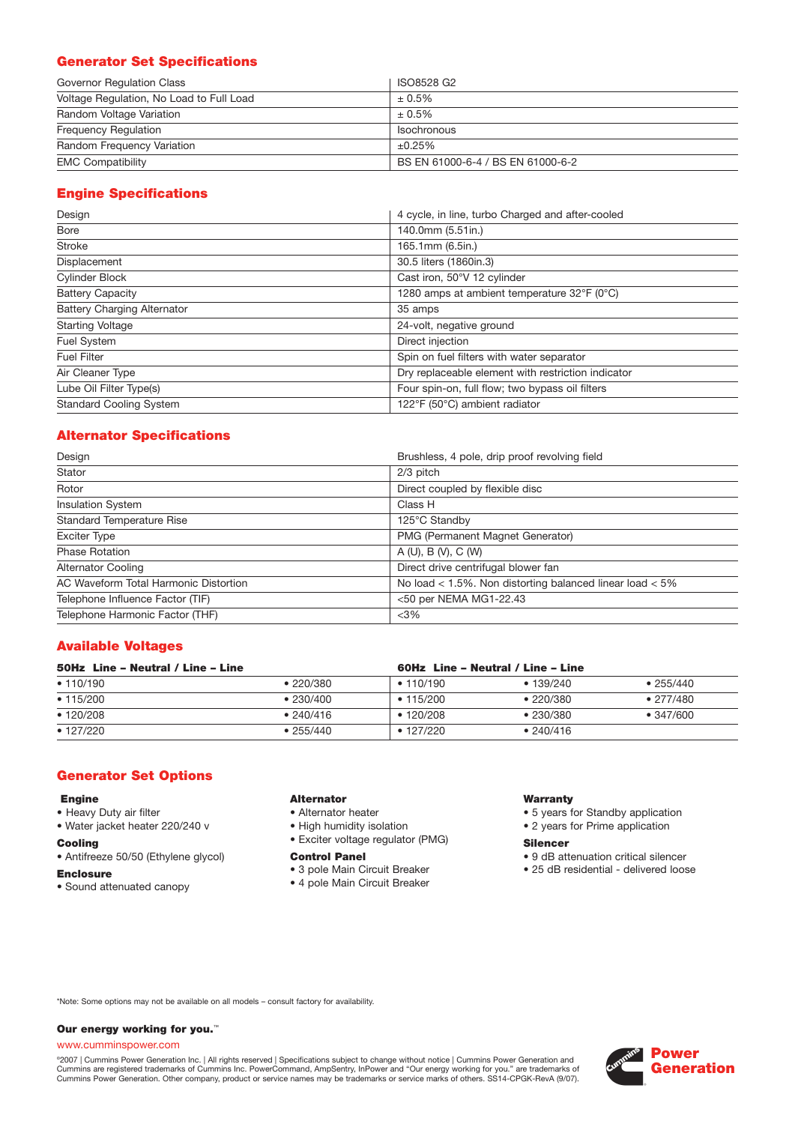# **Generator Set Specifications**

| Governor Regulation Class                | ISO8528 G2                        |
|------------------------------------------|-----------------------------------|
| Voltage Regulation, No Load to Full Load | $± 0.5\%$                         |
| Random Voltage Variation                 | $± 0.5\%$                         |
| <b>Frequency Requlation</b>              | <b>Isochronous</b>                |
| Random Frequency Variation               | ±0.25%                            |
| <b>EMC Compatibility</b>                 | BS EN 61000-6-4 / BS EN 61000-6-2 |

# **Engine Specifications**

| Design                             | 4 cycle, in line, turbo Charged and after-cooled   |
|------------------------------------|----------------------------------------------------|
| Bore                               | 140.0mm (5.51in.)                                  |
| <b>Stroke</b>                      | 165.1mm (6.5in.)                                   |
| Displacement                       | 30.5 liters (1860in.3)                             |
| <b>Cylinder Block</b>              | Cast iron, 50°V 12 cylinder                        |
| <b>Battery Capacity</b>            | 1280 amps at ambient temperature 32°F (0°C)        |
| <b>Battery Charging Alternator</b> | 35 amps                                            |
| <b>Starting Voltage</b>            | 24-volt, negative ground                           |
| Fuel System                        | Direct injection                                   |
| <b>Fuel Filter</b>                 | Spin on fuel filters with water separator          |
| Air Cleaner Type                   | Dry replaceable element with restriction indicator |
| Lube Oil Filter Type(s)            | Four spin-on, full flow; two bypass oil filters    |
| <b>Standard Cooling System</b>     | 122°F (50°C) ambient radiator                      |

# **Alternator Specifications**

| Design                                | Brushless, 4 pole, drip proof revolving field            |
|---------------------------------------|----------------------------------------------------------|
| Stator                                | 2/3 pitch                                                |
| Rotor                                 | Direct coupled by flexible disc                          |
| <b>Insulation System</b>              | Class H                                                  |
| <b>Standard Temperature Rise</b>      | 125°C Standby                                            |
| <b>Exciter Type</b>                   | PMG (Permanent Magnet Generator)                         |
| <b>Phase Rotation</b>                 | A(U), B(V), C(W)                                         |
| <b>Alternator Cooling</b>             | Direct drive centrifugal blower fan                      |
| AC Waveform Total Harmonic Distortion | No load < 1.5%. Non distorting balanced linear load < 5% |
| Telephone Influence Factor (TIF)      | <50 per NEMA MG1-22.43                                   |
| Telephone Harmonic Factor (THF)       | $<$ 3%                                                   |

## **Available Voltages**

| 50Hz Line - Neutral / Line - Line |                   | 60Hz Line - Neutral / Line - Line |           |                   |  |
|-----------------------------------|-------------------|-----------------------------------|-----------|-------------------|--|
| • 110/190                         | •220/380          | • 110/190                         | •139/240  | •255/440          |  |
| • 115/200                         | $\bullet$ 230/400 | $\cdot$ 115/200                   | •220/380  | • 277/480         |  |
| • 120/208                         | • 240/416         | $\cdot$ 120/208                   | •230/380  | $\bullet$ 347/600 |  |
| $\cdot$ 127/220                   | •255/440          | $\cdot$ 127/220                   | • 240/416 |                   |  |

#### **Generator Set Options**

#### **Engine**

- Heavy Duty air filter
- Water jacket heater 220/240 v

#### **Cooling**

- Antifreeze 50/50 (Ethylene glycol)
- **Enclosure**
- Sound attenuated canopy

## **Alternator**

- Alternator heater
- High humidity isolation
- Exciter voltage regulator (PMG)

#### **Control Panel**

- 3 pole Main Circuit Breaker
- 4 pole Main Circuit Breaker

#### **Warranty**

- 5 years for Standby application
- 2 years for Prime application

#### **Silencer**

- 9 dB attenuation critical silencer
- 25 dB residential delivered loose

\*Note: Some options may not be available on all models – consult factory for availability.

#### **Our energy working for you.**™

#### www.cumminspower.com

°2007 | Cummins Power Generation Inc. | All rights reserved | Specifications subject to change without notice | Cummins Power Generation and<br>Cummins are registered trademarks of Cummins Inc. PowerCommand, AmpSentry, InPow

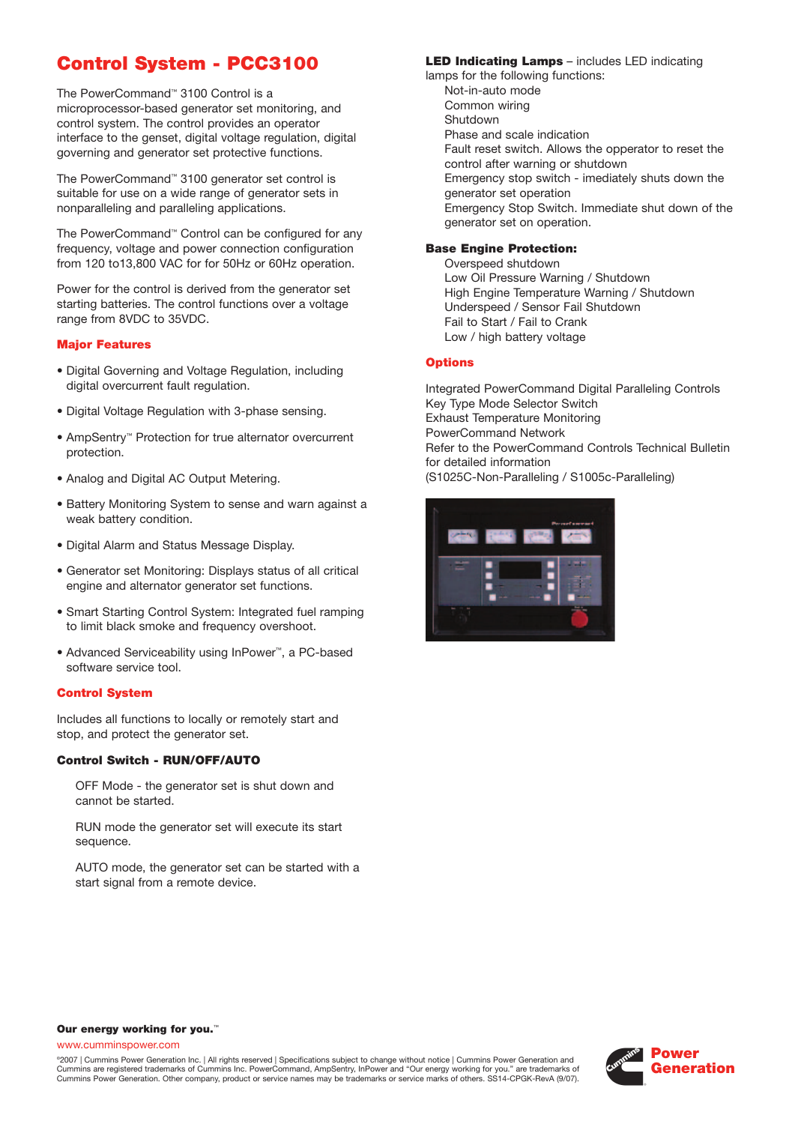# **Control System - PCC3100**

The PowerCommand™ 3100 Control is a microprocessor-based generator set monitoring, and control system. The control provides an operator interface to the genset, digital voltage regulation, digital governing and generator set protective functions.

The PowerCommand™ 3100 generator set control is suitable for use on a wide range of generator sets in nonparalleling and paralleling applications.

The PowerCommand™ Control can be configured for any frequency, voltage and power connection configuration from 120 to13,800 VAC for for 50Hz or 60Hz operation.

Power for the control is derived from the generator set starting batteries. The control functions over a voltage range from 8VDC to 35VDC.

#### **Major Features**

- Digital Governing and Voltage Regulation, including digital overcurrent fault regulation.
- Digital Voltage Regulation with 3-phase sensing.
- AmpSentry™ Protection for true alternator overcurrent protection.
- Analog and Digital AC Output Metering.
- Battery Monitoring System to sense and warn against a weak battery condition.
- Digital Alarm and Status Message Display.
- Generator set Monitoring: Displays status of all critical engine and alternator generator set functions.
- Smart Starting Control System: Integrated fuel ramping to limit black smoke and frequency overshoot.
- Advanced Serviceability using InPower™, a PC-based software service tool.

#### **Control System**

Includes all functions to locally or remotely start and stop, and protect the generator set.

#### **Control Switch - RUN/OFF/AUTO**

OFF Mode - the generator set is shut down and cannot be started.

RUN mode the generator set will execute its start sequence.

AUTO mode, the generator set can be started with a start signal from a remote device.

### **LED Indicating Lamps** – includes LED indicating

lamps for the following functions: Not-in-auto mode Common wiring Shutdown Phase and scale indication Fault reset switch. Allows the opperator to reset the control after warning or shutdown Emergency stop switch - imediately shuts down the generator set operation Emergency Stop Switch. Immediate shut down of the generator set on operation.

#### **Base Engine Protection:**

Overspeed shutdown Low Oil Pressure Warning / Shutdown High Engine Temperature Warning / Shutdown Underspeed / Sensor Fail Shutdown Fail to Start / Fail to Crank Low / high battery voltage

#### **Options**

Integrated PowerCommand Digital Paralleling Controls Key Type Mode Selector Switch Exhaust Temperature Monitoring PowerCommand Network Refer to the PowerCommand Controls Technical Bulletin for detailed information (S1025C-Non-Paralleling / S1005c-Paralleling)



#### **Our energy working for you.**™

www.cumminspower.com

©2007 | Cummins Power Generation Inc. | All rights reserved | Specifications subject to change without notice | Cummins Power Generation and Cummins are registered trademarks of Cummins Inc. PowerCommand, AmpSentry, InPower and "Our energy working for you." are trademarks of Cummins Power Generation. Other company, product or service names may be trademarks or service marks of others. SS14-CPGK-RevA (9/07).